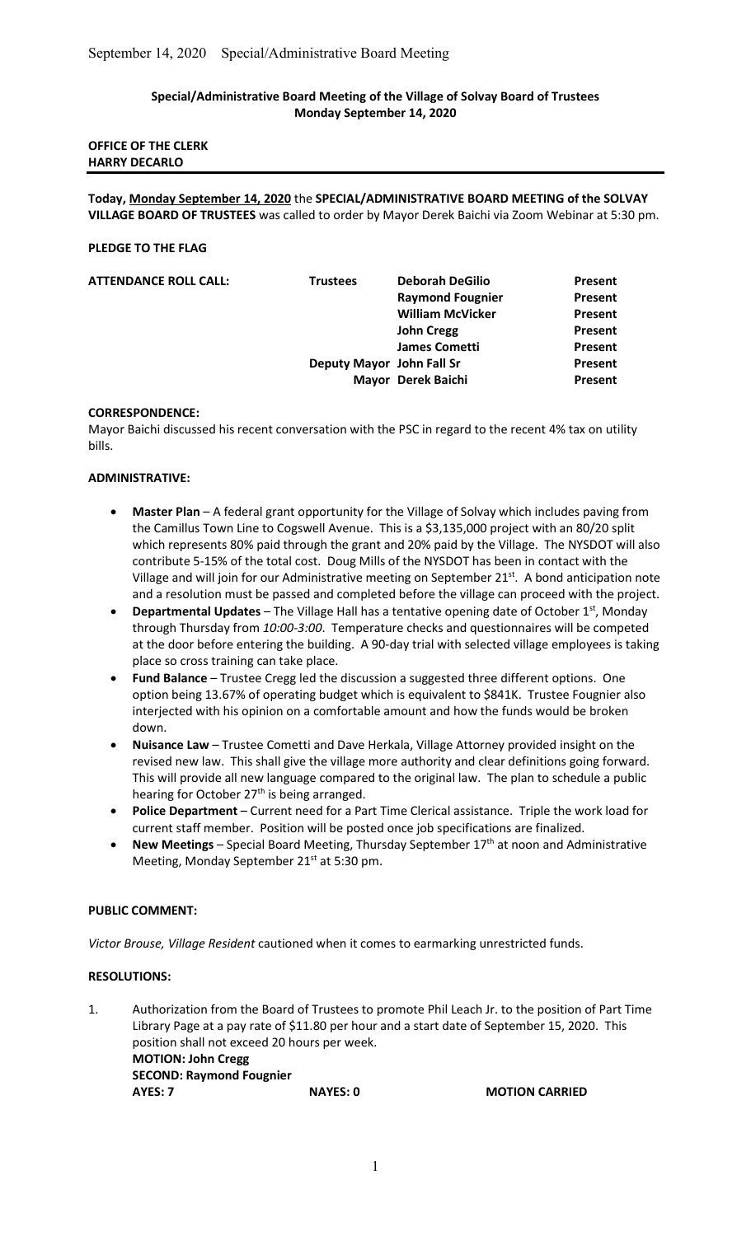# Special/Administrative Board Meeting of the Village of Solvay Board of Trustees Monday September 14, 2020

| <b>OFFICE OF THE CLERK</b> |  |
|----------------------------|--|
| <b>HARRY DECARLO</b>       |  |

Today, Monday September 14, 2020 the SPECIAL/ADMINISTRATIVE BOARD MEETING of the SOLVAY VILLAGE BOARD OF TRUSTEES was called to order by Mayor Derek Baichi via Zoom Webinar at 5:30 pm.

### PLEDGE TO THE FLAG

| <b>ATTENDANCE ROLL CALL:</b> | <b>Trustees</b> | <b>Deborah DeGilio</b>    | Present |
|------------------------------|-----------------|---------------------------|---------|
|                              |                 | <b>Raymond Fougnier</b>   | Present |
|                              |                 | <b>William McVicker</b>   | Present |
|                              |                 | <b>John Cregg</b>         | Present |
|                              |                 | <b>James Cometti</b>      | Present |
|                              |                 | Deputy Mayor John Fall Sr | Present |
|                              |                 | Mayor Derek Baichi        | Present |
|                              |                 |                           |         |

#### CORRESPONDENCE:

Mayor Baichi discussed his recent conversation with the PSC in regard to the recent 4% tax on utility bills.

# ADMINISTRATIVE:

- Master Plan A federal grant opportunity for the Village of Solvay which includes paving from the Camillus Town Line to Cogswell Avenue. This is a \$3,135,000 project with an 80/20 split which represents 80% paid through the grant and 20% paid by the Village. The NYSDOT will also contribute 5-15% of the total cost. Doug Mills of the NYSDOT has been in contact with the Village and will join for our Administrative meeting on September 21<sup>st</sup>. A bond anticipation note and a resolution must be passed and completed before the village can proceed with the project.
- **Departmental Updates** The Village Hall has a tentative opening date of October  $1<sup>st</sup>$ , Monday through Thursday from 10:00-3:00. Temperature checks and questionnaires will be competed at the door before entering the building. A 90-day trial with selected village employees is taking place so cross training can take place.
- Fund Balance Trustee Cregg led the discussion a suggested three different options. One option being 13.67% of operating budget which is equivalent to \$841K. Trustee Fougnier also interjected with his opinion on a comfortable amount and how the funds would be broken down.
- Nuisance Law Trustee Cometti and Dave Herkala, Village Attorney provided insight on the revised new law. This shall give the village more authority and clear definitions going forward. This will provide all new language compared to the original law. The plan to schedule a public hearing for October 27<sup>th</sup> is being arranged.
- Police Department Current need for a Part Time Clerical assistance. Triple the work load for current staff member. Position will be posted once job specifications are finalized.
- New Meetings Special Board Meeting, Thursday September  $17<sup>th</sup>$  at noon and Administrative Meeting, Monday September 21<sup>st</sup> at 5:30 pm.

# PUBLIC COMMENT:

Victor Brouse, Village Resident cautioned when it comes to earmarking unrestricted funds.

# RESOLUTIONS:

1. Authorization from the Board of Trustees to promote Phil Leach Jr. to the position of Part Time Library Page at a pay rate of \$11.80 per hour and a start date of September 15, 2020. This position shall not exceed 20 hours per week. MOTION: John Cregg SECOND: Raymond Fougnier AYES: 7 NAYES: 0 MOTION CARRIED